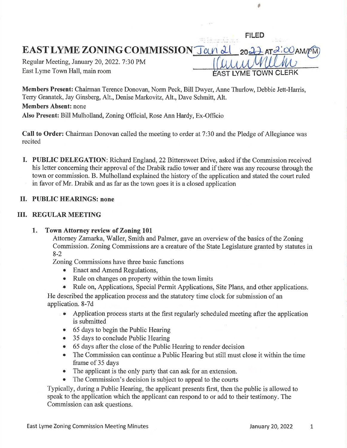EAST LYME ZONING COMMISSION  $\text{J}\alpha\text{A}$  at  $\alpha\text{A}$  at  $\alpha\text{A}$  and  $\alpha\text{A}$ 

Regular Meeting, January 20,2022.7:30 PM East Lyme Town Hall, main room

 $\sim$ 

FILED

I

Members Present: Chairman Terence Donovan, Norm Peck, Bill Dwyer, Anne Thurlow, Debbie Jett-Harris, Terry Granatek, Jay Ginsberg, Alt., Denise Markovitz, Alt., Dave Schmitt, Alt. Members Absent: none Also Present: Bill Mulholland, Zoning Official, Rose Ann Hardy, Ex-Officio

Call to Order: Chairman Donovan called the meeting to order at 7:30 and the Pledge of Allegiance was recited

I. PUBLIC DELEGATION: Richard England, 22 Bittersweet Drive, asked if the Commission received his letter concerning their approval of the Drabik radio tower and if there was any recourse through the town or commission. B. Mulholland explained the history of the application and stated the court ruled in favor of Mr. Drabik and as far as the town goes it is a closed application

### II. PUBLIC HEARINGS: none

## III. REGULAR MEETING

Town Attorney review of Zoning 101 1

Attorney Zarnarka, Waller, Smith and Palmer, gave an overview of the basics of the Zoning Commission. Zoning Commissions are a creature of the State Legislature granted by statutes in 8-2

Zoning Commissions have three basic functions

- Enact and Amend Regulations,
- Rule on changes on property within the town limits
- Rule on, Applications, Special Permit Applications, Site Plans, and other applications.

He described the application process and the statutory time clock for submission of an application. 8-7d

- . Application process starts at the first regularly scheduled meeting after the application is submitted
- 65 days to begin the Public Hearing
- 35 days to conclude Public Hearing
- o <sup>65</sup>days after the close of the Public Hearing to render decision
- The Commission can continue a Public Hearing but still must close it within the time frame of 35 days
- The applicant is the only party that can ask for an extension.
- The Commission's decision is subject to appeal to the courts

Typically, during a Public Hearing, the applicant presents first, then the public is allowed to speak to the application which the applicant can respond to or add to their testimony. The Commission can ask questions.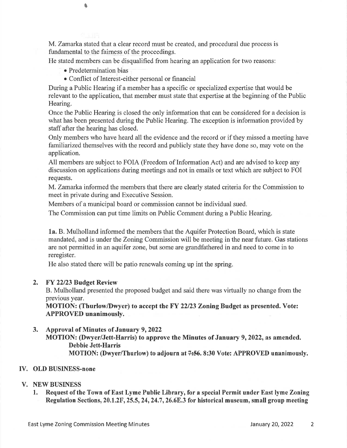M. Zamarka stated that a clear record must be created, and procedural due process is fundamental to the fairness of the proceedings.

He stated members can be disqualified from hearing an application for two reasons:

o Predetermination bias

 $\bullet$ 

o Conflict of Interest-either personal or financial

During a Public Hearing if a member has a specific or specialized expertise that would be relevant to the application, that member must state that expertise at the beginning of the Public Hearing.

Once the Public Hearing is closed the only information that can be considered for a decision is what has been presented during the Public Hearing. The exception is information provided by staff after the hearing has closed.

Only members who have heard all the evidence and the record or if they missed a meeting have familiarized themselves with the record and publicly state they have done so, may vote on the application.

All members are subject to FOIA (Freedom of Information Act) and are advised to keep any discussion on applications during meetings and not in emails or text which are subject to FOI requests.

M. Zamarka informed the members that there are clearly stated criteria for the Commission to meet in private during and Executive Session.

Members of a municipal board or commission cannot be individual sued.

The Commission can put time limits on Public Comment during a Public Hearing.

La. B. Mulholland informed the members that the Aquifer Protection Board, which is state mandated, and is under the Zoning Commission will be meeting in the near future. Gas stations are not permitted in an aquifer zone, but some are grandfathered in and need to come in to reregister.

He also stated there will be patio renewals coming up int the spring.

# 2. FY 22/23 Budget Review

B. Mulholland presented the proposed budget and said there was virtually no change from the previous year.

MOTION: (Thurlow/Dwyer) to accept the FY 22/23 Zoning Budget as presented. Vote: APPROVED unanimously.

# 3. Approval of Minutes of January 9,2022

MOTION: (Dwyer/Jett-Harris) to approve the Minutes of January 9,2022, as amended. Debbie Jett-Harris **MOTION: (Dwyer/Thurlow) to adjourn** \*\*\*\*\*\*\*\*\*\*\*\*\*\* Vote: APPROVED unanimously.

# ry. OLD BUSINESS-none

# V. NEW BUSINESS

1. Request of the Town of East Lyme Public Library, for a special Permit under East lyme Zoning Regulation Sections, 20.1.2F, 25.5, 24, 24.7, 26.6E.3 for historical museum, small group meeting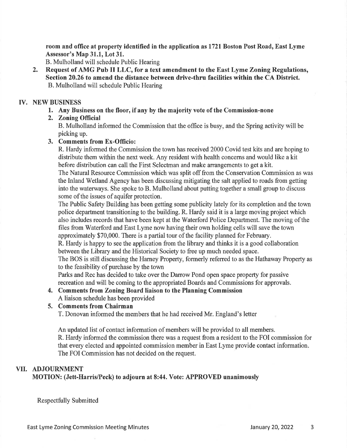room and office at property identified in the application as l72l Boston Post Road, East Lyme Assessor's Map 31.1, Lot 31.

B. Mulholland will schedule Public Hearing

2. Request of AMG Pub II LLC, for a text amendment to the East Lyme Zoning Regulations, Section 20.26 to amend the distance between drive-thru facilities within the CA District. B. Mulholland will schedule Public Hearing

### ry. NEW BUSINESS

1. Any Business on the floor, if any by the majority vote of the Commission-none

## 2. Zoning Official

B. Mulholland informed the Commission that the office is busy, and the Spring activity will be picking up.

### 3. Comments from Ex-Officio:

R. Hardy informed the Commission the town has received 2000 Covid test kits and are hoping to distributc them within the next week. Any resident with health concems and would likc a kit before distribution can call the First Selectman and make arrangements to get a kit.

The Natural Resource Commission which was split off from the Conservation Commission as was the Inland Wetland Agency has been discussing mitigating the salt applied to roads from geffing into the waterways. She spoke to B. Mulholland about putting together a small group to discuss some of the issues of aquifer protection.

The Public Safety Building has been getting some publicity lately for its completion and the town police department transitioning to the building. R. Hardy said it is a large moving project which also includes records that have been kept at the Waterford Police Department. The moving of the files from Waterford and East Lyme now having their own holding cells will save the town approximately \$70,000. There is a partial tour of the facility planned for February.

R. Hardy is happy to see the application from the library and thinks it is a good collaboration between the Library and the Historical Society to free up much needed space.

The BOS is still discussing the Harney Property, formerly referred to as the Hathaway Property as to the feasibility of purchase by the town

Parks and Rec has decided to take over the Darrow Pond open space property for passive recreation and will be coming to the appropriated Boards and Commissions for approvals.

#### 4, Comments from Zoning Board liaison to the Planning Commission A liaison schedule has been provided

### 5. Comments from Chairman

T. Donovan informed the members that he had received Mr. England's letter

An updated list of contact information of members will be provided to all members. R. Hardy informed the commission there was a request from a resident to the FOI commission for that every elected and appointed commission member in East Lyme provide contact information. The FOI Commission has not decided on the request.

### VII. ADJOURNMENT

MOTION: (Jett-Harris/Peck) to adjourn at 8:44. Vote: APPROVED unanimously

Respectfully Submitted